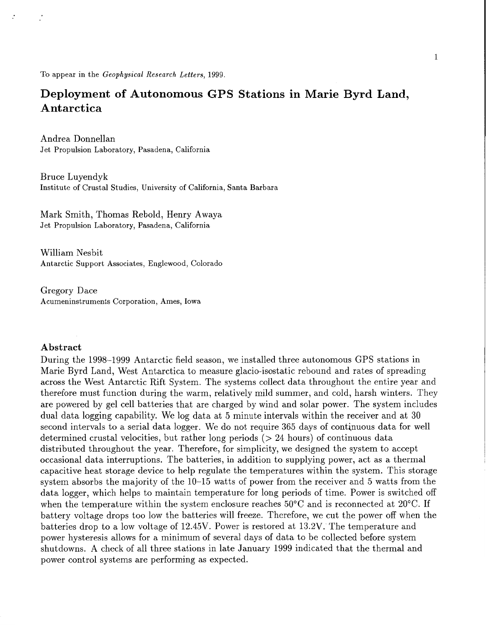<span id="page-0-0"></span>To appear in the *Geophysical Research Letters,* 1999.

# **Deployment of Autonomous GPS Stations in Marie Byrd Land, Antarctica**

Andrea Donnellan Jet Propulsion Laboratory, Pasadena, California

Bruce Luyendyk Institute of Crustal Studies, University of California, Santa Barbara

Mark Smith, Thomas Rebold, Henry Awaya Jet Propulsion Laboratory, Pasadena, California

William Nesbit Antarctic Support Associates, Englewood, Colorado

Gregory Dace Acumeninstruments Corporation, Ames, Iowa

## **Abstract**

During the 1998-1999 Antarctic field season, we installed three autonomous GPS stations in Marie Byrd Land, West Antarctica to measure glacio-isostatic rebound and rates of spreading across the West Antarctic Rift System. The systems collect data throughout the entire year and therefore must function during the warm, relatively mild summer, and cold, harsh winters. They are powered by gel cell batteries that are charged by wind and solar power. The system includes dual data logging capability. We log data at 5 minute intervals within the receiver and at 30 second intervals to a serial data logger. We do not require 365 days of continuous data for well determined crustal velocities, but rather long periods (> 24 hours) of continuous data distributed throughout the year. Therefore, for simplicity, we designed the system to accept occasional data interruptions. The batteries, in addition to supplying power, act as a thermal capacitive heat storage device to help regulate the temperatures within the system. This storage system absorbs the majority of the 10-15 watts of power from the receiver and 5 watts from the data logger, which helps to maintain temperature for long periods of time. Power is switched off when the temperature within the system enclosure reaches 50°C and is reconnected at 20°C. If battery voltage drops too low the batteries will freeze. Therefore, we cut the power off when the batteries drop to a low voltage of 12.45V. Power is restored at 13.2V. The temperature and power hysteresis allows for a minimum of several days of data to be collected before system shutdowns. A check of all three stations in late January 1999 indicated that the thermal and power control systems are performing as expected.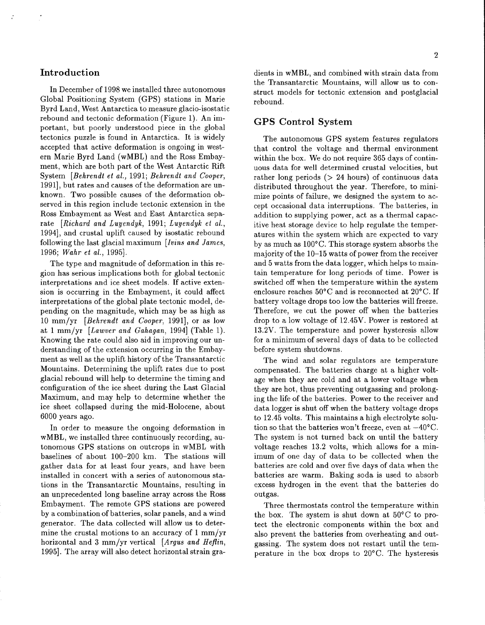## <span id="page-1-0"></span>**Introduction**

In December of 1998 we installed three autonomous Global Positioning System (GPS) stations in Marie Byrd Land, West Antarctica to measure glacio-isostatic rebound and tectonic deformation (Figure 1). An important, but poorly understood piece in the global tectonics puzzle is found in Antarctica. It is widely accepted that active deformation is ongoing in western Marie Byrd Land (wMBL) and the Ross Embayment, which are both part of the West Antarctic Rift System *[Behrendt et al.,* 1991; *Behrendt and Cooper,*  19911, but rates and causes of the deformation are unknown. Two possible causes of the deformation observed in this region include tectonic extension in the Ross Embayment as West and East Antarctica separate *[Richard and Luyendyk,* 1991; *Luyendyk et al.,*  19941, and crustal uplift caused by isostatic rebound following the last glacial maximum *[Iwins and James,*  1996; *Wuhr et a/.,* 19951.

The type and magnitude of deformation in this region has serious implications both for global tectonic interpretations and ice sheet models. If active extension is occurring in the Embayment, it could affect interpretations of the global plate tectonic model, depending on the magnitude, which may be as high as 10 mm/yr *[Behrendt and Cooper, 1991]*, or as low at 1 mm/yr *[Lawwer and Gahagan,* 19941 (Table 1). Knowing the rate could also aid in improving our understanding of the extension occurring in the Embayment as well as the uplift history of the Transantarctic Mountains. Determining the uplift rates due to post glacial rebound will help to determine the timing and configuration of the ice sheet during the Last Glacial Maximum, and may help to determine whether the ice sheet collapsed during the mid-Holocene, about 6000 years ago.

In order to measure the ongoing deformation in wMBL, we installed three continuously recording, autonomous GPS stations on outcrops in wMBL with baselines of about 100-200 km. The stations will gather data for at least four years, and have been installed in concert with a series of autonomous stations in the Transantarctic Mountains, resulting in an unprecedented long baseline array across the Ross Embayment. The remote GPS stations are powered by a combination of batteries, solar panels, and a wind generator. The data collected will allow us to determine the crustal motions to an accuracy of 1 mm/yr horizontal and 3 mm/yr vertical *[Argus and Heflin,*  19951. The array will also detect horizontal strain gra-

dients in wMBL, and combined with strain data from the Transantarctic Mountains, will allow us to construct models for tectonic extension and postglacial rebound.

### **GPS Control System**

The autonomous GPS system features regulators that control the voltage and thermal environment within the box. We do not require 365 days of continuous data for well determined crustal velocities, but rather long periods  $(> 24$  hours) of continuous data distributed throughout the year. Therefore, to minimize points of failure, we designed the system to accept occasional data interruptions. The batteries, in addition to supplying power, act as a thermal capacitive heat storage device to help regulate the temperatures within the system which are expected to vary by as much as  $100^{\circ}$ C. This storage system absorbs the majority of the 10-15 watts of power from the receiver and 5 watts from the data logger, which helps to maintain temperature for long periods of time. Power is switched off when the temperature within the system enclosure reaches  $50^{\circ}$ C and is reconnected at  $20^{\circ}$ C. If battery voltage drops too low the batteries will freeze. Therefore, we cut the power off when the batteries drop to a low voltage of 12.45V. Power is restored at 13.2V. The temperature and power hysteresis allow for a minimum of several days of data to be collected before system shutdowns.

The wind and solar regulators are temperature compensated. The batteries charge at a higher voltage when they are cold and at a lower voltage when they are hot, thus preventing outgassing and prolonging the life of the batteries. Power to the receiver and data logger is shut off when the battery voltage drops to 12.45 volts. This maintains a high electrolyte solution so that the batteries won't freeze, even at  $-40^{\circ}$ C. The system is not turned back on until the battery voltage reaches 13.2 volts, which allows for a minimum of one day of data to be collected when the batteries are cold and over five days of data when the batteries are warm. Baking soda is used to absorb excess hydrogen in the event that the batteries do outgas.

Three thermostats control the temperature within the box. The system is shut down at  $50^{\circ}$ C to protect the electronic components within the box and also prevent the batteries from overheating and outgassing. The system does not restart until the temperature in the box drops to  $20^{\circ}$ C. The hysteresis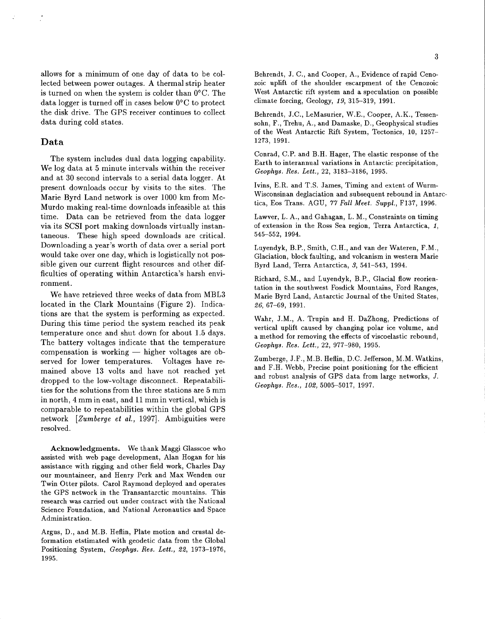allows for a minimum of one day of data to be collected between power outages. A thermal strip heater is turned on when the system is colder than 0°C. The data logger is turned off in cases below O°C to protect the disk drive. The GPS receiver continues to collect data during cold states.

#### **Data**

The system includes dual data logging capability. We log data at 5 minute intervals within the receiver and at **30** second intervals to a serial data logger. At present downloads occur by visits to the sites. The Marie Byrd Land network is over **1000** km from Mc-Murdo making real-time downloads infeasible at this time. Data can be retrieved from the data logger via its SCSI port making downloads virtually instantaneous. These high speed downloads are critical. Downloading a year's worth of data over a serial port would take over one day, which is logistically not possible given our current flight resources and other difficulties of operating within Antarctica's harsh environment.

We have retrieved three weeks of data from **MBL3**  [located in the Clark Mountains \(Figure](#page-1-0) **2).** Indications are that the system is performing as expected. During this time period the system reached its peak temperature once and shut down for about 1.5 days. The battery voltages indicate that the temperature compensation is working - higher voltages are observed for lower temperatures. Voltages have remained above **13** volts and have not reached yet dropped to the low-voltage disconnect. Repeatabili[ties for the solutions from the three stations ar](#page-4-0)e 5 mm in north, 4 mm in east, and **11** mm in vertical, which is comparable to repeatabilities within the global GPS network *[Zurnberge et* **ai.,** 19971. Ambiguities were resolved.

**Acknowledgments.** We thank Maggi Glasscoe who assisted with web page development, Alan Hogan for his assistance with rigging and other field work, Charles Day our mountaineer, and Henry Perk and Max Wenden our Twin Otter pilots. Carol Raymond deployed and operates the GPS network in the Transantarctic mountains. This research was carried out under contract with the National Science Foundation, and National Aeronautics and Space Administration.

Argus, D., and M.B. Heflin, Plate motion and crustal deformation etstimated with geodetic data from the Global Positioning System, *Geophys. Res. Lett., 22,* **1973-1976, 1995.** 

Behrendt, J. C., and Cooper, **A.,** Evidence of rapid Cenozoic uplift of the shoulder escarpment of the Cenozoic West Antarctic rift system and a speculation on possible climate forcing, Geology, *19,* **315-319, 1991.** 

Behrendt, J.C., LeMasurier, W.E., Cooper, A.K., Tessensohn, F., Trehu, A., and Damaske, D., Geophysical studies [of the West Antarctic Rift System, Tectonics,](#page-6-0) **10, 1257- 1273, 1991.** 

Conrad, C.P. and B.H. Hager, The elastic response of the Earth to interannual variations in Antarctic precipitation, *Geophys. Res. Lett.,* **22, 3183-3186, 1995.** 

Ivins, E.R. and T.S. James, Timing and extent of Wurm-Wisconsinan deglaciation and subsequent rebound in Antarctica, Eos Trans. AGU, **77** Fall *Meet.* Suppl., **F137, 1996.** 

Lawver, L. A., and Gahagan, L. M., Constraints on timing [of extension in the Ross Sea region, Terra Antarctica,](#page-0-0) *1,*  **545-552, 1994.** 

Luyendyk, B.P., Smith, C.H., and van der Wateren, F.M., Glaciation, block faulting, and volcanism in western Marie Byrd Land, Terra Antarctica, *3,* **541-543, 1994.** 

Richard, S.M., and Luyendyk, B.P., Glacial flow reorientation in the southwest Fosdick Mountains, Ford Ranges, Marie Byrd Land, Antarctic Journal of the United States, *26,* **67-69, 1991.** 

Wahr, J.M., A. Trupin and H. DaZhong, Predictions of vertical uplift caused by changing polar ice volume, and a method for removing the effects of viscoelastic rebound, Geophys. *Res. Lett.,* **22, 977-980, 1995.** 

Zumberge, J.F., M.B. Heflin, D.C. Jefferson, M.M. Watkins, and F.H. Webb, Precise point positioning for the efficient and robust analysis of GPS data from large networks, *J. Geophys. Res., 102,* **5005-5017, 1997.**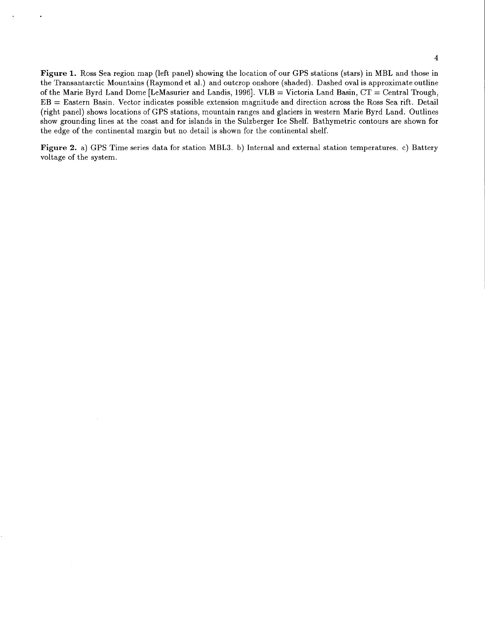**Figure 1.** Ross Sea region map (left panel) showing the location of our GPS stations (stars) in MBL and those in the Transantarctic Mountains (Raymond et al.) and outcrop onshore (shaded). Dashed oval is approximate outline of the Marie Byrd Land Dome [LeMasurier and Landis, 19961. VLB = Victoria Land Basin, CT = Central Trough, EB = Eastern Basin. Vector indicates possible extension magnitude and direction across the Ross Sea rift. Detail (right panel) shows locations of GPS stations, mountain ranges and glaciers in western Marie Byrd Land. Outlines show grounding lines at the coast and for islands in the Sulzberger Ice Shelf. Bathymetric contours are shown for the edge of the continental margin but no detail is shown for the continental shelf.

**Figure 2.** a) GPS Time series data for station MBL3. b) Internal and external station temperatures. c) Battery voltage of the system.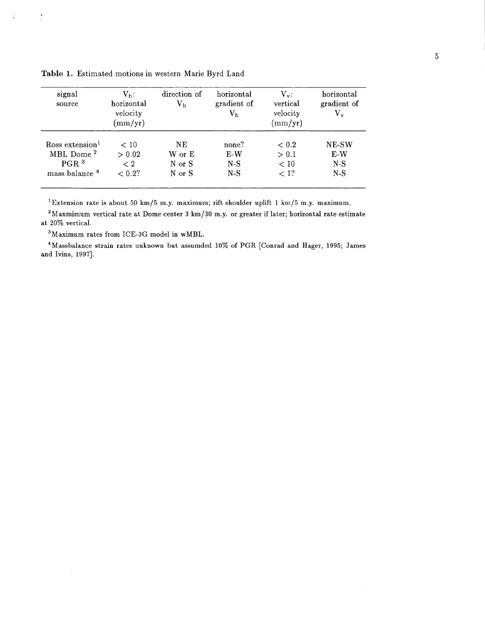| signal<br>source            | $V_h$ :<br>horizontal<br>velocity<br>$\rm (mm/yr)$ | direction of<br>$\rm V_h$ | horizontal<br>gradient of<br>$\rm V_h$ | $V_{v}$ :<br>vertical<br>velocity<br>$\rm (mm/yr)$ | horizontal<br>gradient of<br>$\rm V_{v}$ |
|-----------------------------|----------------------------------------------------|---------------------------|----------------------------------------|----------------------------------------------------|------------------------------------------|
| Ross extension <sup>1</sup> | < 10                                               | NE.                       | none?                                  | < 0.2                                              | <b>NE-SW</b>                             |
| MBL Dome <sup>2</sup>       | > 0.02                                             | W or E                    | $E-W$                                  | > 0.1                                              | $E-W$                                    |
| PGR <sup>3</sup>            | < 2                                                | N or S                    | $N-S$                                  | < 10                                               | $N-S$                                    |
| mass balance <sup>4</sup>   | $< 0.2$ ?                                          | N or S                    | $N-S$                                  | $<$ 1?                                             | $N-S$                                    |

**Table 1.** Estimated motions in western Marie Byrd Land

<span id="page-4-0"></span> $\frac{1}{2}$ 

 $\ddot{\cdot}$ 

['Extension rate is about 50 km/5 m.y. maximum; rift shoulder uplift](#page-0-0) **1** km/5 m.y. maximum.

2Maxmimum vertical rate at Dome center 3 km/30 m.y. or greater if later; horizontal rate estimate at 20% vertical.

3Maximum rates from ICE-3G model in wMBL.

4Massbalance strain rates unknown but assumded 10% of PGR [Conrad and Hager, 1995; James and Ivins, 1997].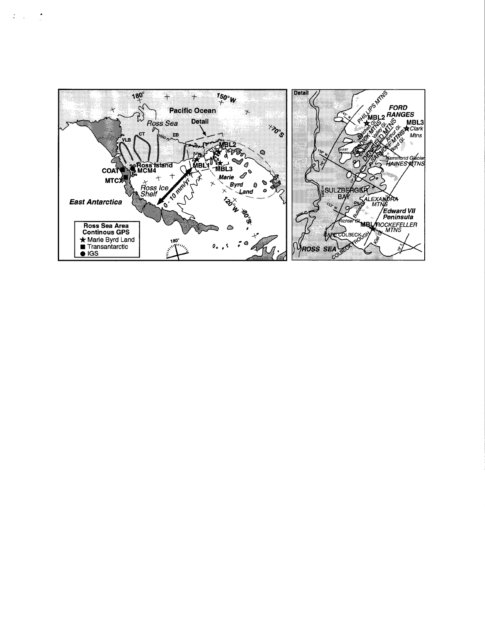

 $\mathcal{L}(\mathcal{A})=\frac{1}{2}$